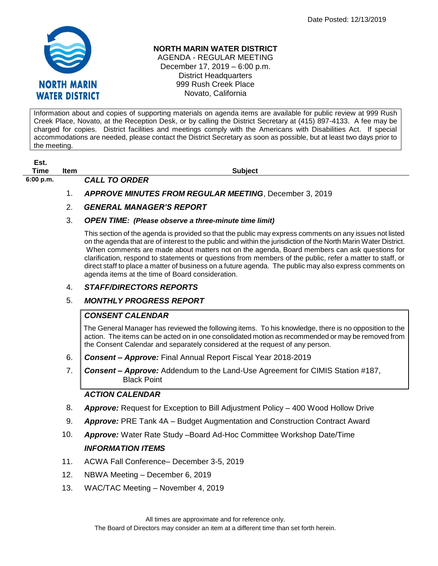

#### **NORTH MARIN WATER DISTRICT**

AGENDA - REGULAR MEETING December 17, 2019 – 6:00 p.m. District Headquarters 999 Rush Creek Place Novato, California

Information about and copies of supporting materials on agenda items are available for public review at 999 Rush Creek Place, Novato, at the Reception Desk, or by calling the District Secretary at (415) 897-4133. A fee may be charged for copies. District facilities and meetings comply with the Americans with Disabilities Act. If special accommodations are needed, please contact the District Secretary as soon as possible, but at least two days prior to the meeting.

**Est. Time Item Subject**

**6:00 p.m.** *CALL TO ORDER* 

1. *APPROVE MINUTES FROM REGULAR MEETING*, December 3, 2019

## 2. *GENERAL MANAGER'S REPORT*

#### 3. *OPEN TIME: (Please observe a three-minute time limit)*

This section of the agenda is provided so that the public may express comments on any issues not listed on the agenda that are of interest to the public and within the jurisdiction of the North Marin Water District. When comments are made about matters not on the agenda, Board members can ask questions for clarification, respond to statements or questions from members of the public, refer a matter to staff, or direct staff to place a matter of business on a future agenda. The public may also express comments on agenda items at the time of Board consideration.

## 4. *STAFF/DIRECTORS REPORTS*

## 5. *MONTHLY PROGRESS REPORT*

## *CONSENT CALENDAR*

The General Manager has reviewed the following items. To his knowledge, there is no opposition to the action. The items can be acted on in one consolidated motion as recommended or may be removed from the Consent Calendar and separately considered at the request of any person.

- 6. *Consent – Approve:* Final Annual Report Fiscal Year 2018-2019
- 7. *Consent – Approve:* Addendum to the Land-Use Agreement for CIMIS Station #187, **Black Point**

## *ACTION CALENDAR*

- 8. *Approve:* Request for Exception to Bill Adjustment Policy 400 Wood Hollow Drive
- 9. *Approve:* PRE Tank 4A Budget Augmentation and Construction Contract Award
- 10. *Approve:* Water Rate Study –Board Ad-Hoc Committee Workshop Date/Time

# *INFORMATION ITEMS*

- 11. ACWA Fall Conference– December 3-5, 2019
- 12. NBWA Meeting December 6, 2019
- 13. WAC/TAC Meeting November 4, 2019